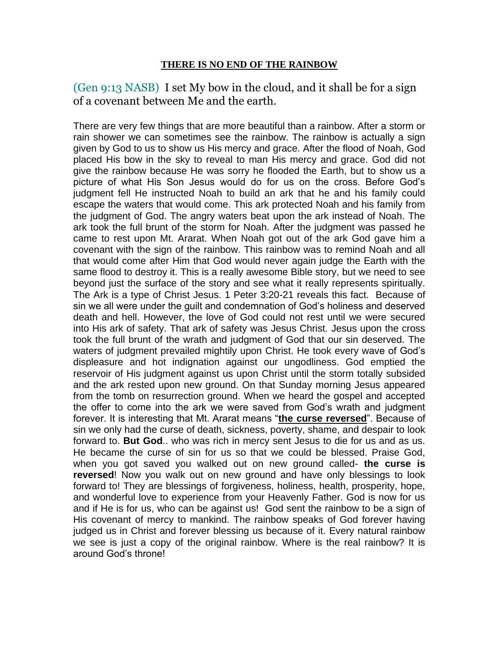(Gen 9:13 NASB) I set My bow in the cloud, and it shall be for a sign of a covenant between Me and the earth.

There are very few things that are more beautiful than a rainbow. After a storm or rain shower we can sometimes see the rainbow. The rainbow is actually a sign given by God to us to show us His mercy and grace. After the flood of Noah, God placed His bow in the sky to reveal to man His mercy and grace. God did not give the rainbow because He was sorry he flooded the Earth, but to show us a picture of what His Son Jesus would do for us on the cross. Before God's judgment fell He instructed Noah to build an ark that he and his family could escape the waters that would come. This ark protected Noah and his family from the judgment of God. The angry waters beat upon the ark instead of Noah. The ark took the full brunt of the storm for Noah. After the judgment was passed he came to rest upon Mt. Ararat. When Noah got out of the ark God gave him a covenant with the sign of the rainbow. This rainbow was to remind Noah and all that would come after Him that God would never again judge the Earth with the same flood to destroy it. This is a really awesome Bible story, but we need to see beyond just the surface of the story and see what it really represents spiritually. The Ark is a type of Christ Jesus. 1 Peter 3:20-21 reveals this fact. Because of sin we all were under the guilt and condemnation of God's holiness and deserved death and hell. However, the love of God could not rest until we were secured into His ark of safety. That ark of safety was Jesus Christ. Jesus upon the cross took the full brunt of the wrath and judgment of God that our sin deserved. The waters of judgment prevailed mightily upon Christ. He took every wave of God's displeasure and hot indignation against our ungodliness. God emptied the reservoir of His judgment against us upon Christ until the storm totally subsided and the ark rested upon new ground. On that Sunday morning Jesus appeared from the tomb on resurrection ground. When we heard the gospel and accepted the offer to come into the ark we were saved from God's wrath and judgment forever. It is interesting that Mt. Ararat means "**the curse reversed**". Because of sin we only had the curse of death, sickness, poverty, shame, and despair to look forward to. **But God**.. who was rich in mercy sent Jesus to die for us and as us. He became the curse of sin for us so that we could be blessed. Praise God, when you got saved you walked out on new ground called- **the curse is reversed**! Now you walk out on new ground and have only blessings to look forward to! They are blessings of forgiveness, holiness, health, prosperity, hope, and wonderful love to experience from your Heavenly Father. God is now for us and if He is for us, who can be against us! God sent the rainbow to be a sign of His covenant of mercy to mankind. The rainbow speaks of God forever having judged us in Christ and forever blessing us because of it. Every natural rainbow we see is just a copy of the original rainbow. Where is the real rainbow? It is around God's throne!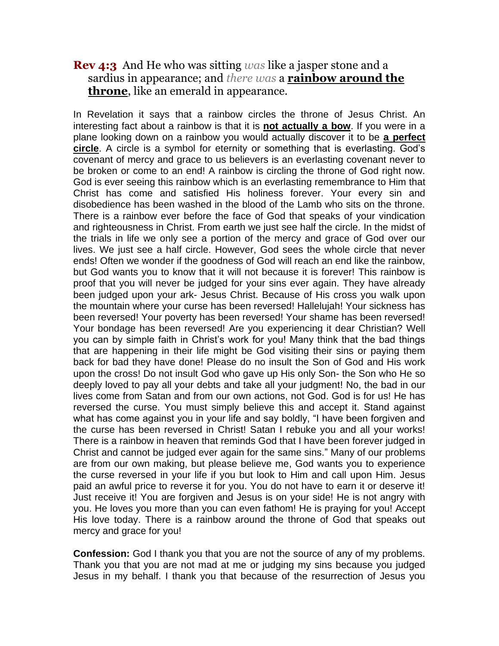## **Rev 4:3** And He who was sitting *was* like a jasper stone and a sardius in appearance; and *there was* a **rainbow around the throne**, like an emerald in appearance.

In Revelation it says that a rainbow circles the throne of Jesus Christ. An interesting fact about a rainbow is that it is **not actually a bow**. If you were in a plane looking down on a rainbow you would actually discover it to be **a perfect circle**. A circle is a symbol for eternity or something that is everlasting. God's covenant of mercy and grace to us believers is an everlasting covenant never to be broken or come to an end! A rainbow is circling the throne of God right now. God is ever seeing this rainbow which is an everlasting remembrance to Him that Christ has come and satisfied His holiness forever. Your every sin and disobedience has been washed in the blood of the Lamb who sits on the throne. There is a rainbow ever before the face of God that speaks of your vindication and righteousness in Christ. From earth we just see half the circle. In the midst of the trials in life we only see a portion of the mercy and grace of God over our lives. We just see a half circle. However, God sees the whole circle that never ends! Often we wonder if the goodness of God will reach an end like the rainbow, but God wants you to know that it will not because it is forever! This rainbow is proof that you will never be judged for your sins ever again. They have already been judged upon your ark- Jesus Christ. Because of His cross you walk upon the mountain where your curse has been reversed! Hallelujah! Your sickness has been reversed! Your poverty has been reversed! Your shame has been reversed! Your bondage has been reversed! Are you experiencing it dear Christian? Well you can by simple faith in Christ's work for you! Many think that the bad things that are happening in their life might be God visiting their sins or paying them back for bad they have done! Please do no insult the Son of God and His work upon the cross! Do not insult God who gave up His only Son- the Son who He so deeply loved to pay all your debts and take all your judgment! No, the bad in our lives come from Satan and from our own actions, not God. God is for us! He has reversed the curse. You must simply believe this and accept it. Stand against what has come against you in your life and say boldly, "I have been forgiven and the curse has been reversed in Christ! Satan I rebuke you and all your works! There is a rainbow in heaven that reminds God that I have been forever judged in Christ and cannot be judged ever again for the same sins." Many of our problems are from our own making, but please believe me, God wants you to experience the curse reversed in your life if you but look to Him and call upon Him. Jesus paid an awful price to reverse it for you. You do not have to earn it or deserve it! Just receive it! You are forgiven and Jesus is on your side! He is not angry with you. He loves you more than you can even fathom! He is praying for you! Accept His love today. There is a rainbow around the throne of God that speaks out mercy and grace for you!

**Confession:** God I thank you that you are not the source of any of my problems. Thank you that you are not mad at me or judging my sins because you judged Jesus in my behalf. I thank you that because of the resurrection of Jesus you